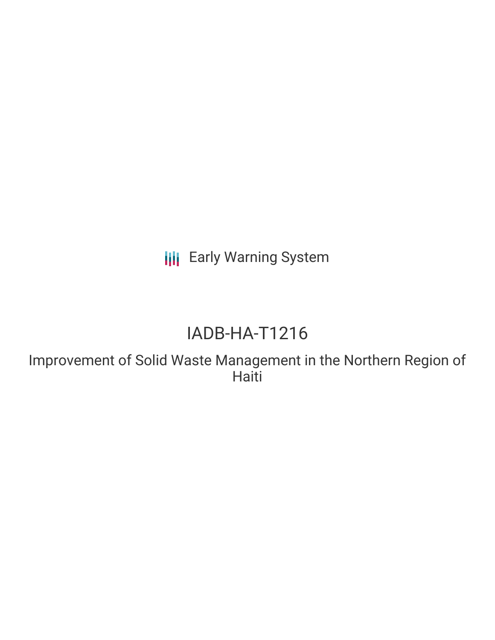**III** Early Warning System

## IADB-HA-T1216

Improvement of Solid Waste Management in the Northern Region of Haiti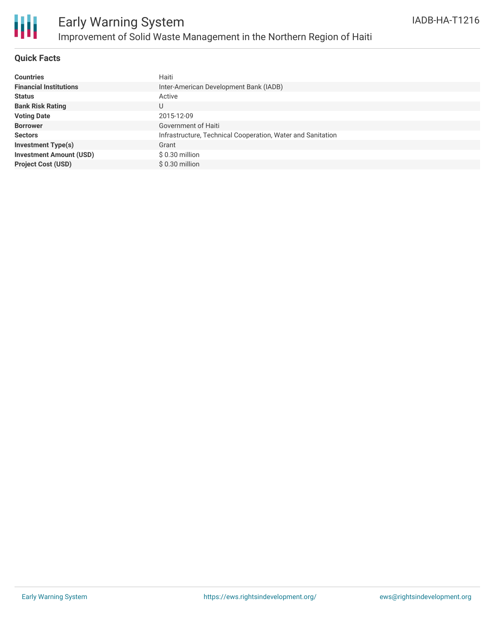

#### **Quick Facts**

| <b>Countries</b>               | Haiti                                                       |
|--------------------------------|-------------------------------------------------------------|
| <b>Financial Institutions</b>  | Inter-American Development Bank (IADB)                      |
| <b>Status</b>                  | Active                                                      |
| <b>Bank Risk Rating</b>        | U                                                           |
| <b>Voting Date</b>             | 2015-12-09                                                  |
| <b>Borrower</b>                | Government of Haiti                                         |
| <b>Sectors</b>                 | Infrastructure, Technical Cooperation, Water and Sanitation |
| <b>Investment Type(s)</b>      | Grant                                                       |
| <b>Investment Amount (USD)</b> | $$0.30$ million                                             |
| <b>Project Cost (USD)</b>      | $$0.30$ million                                             |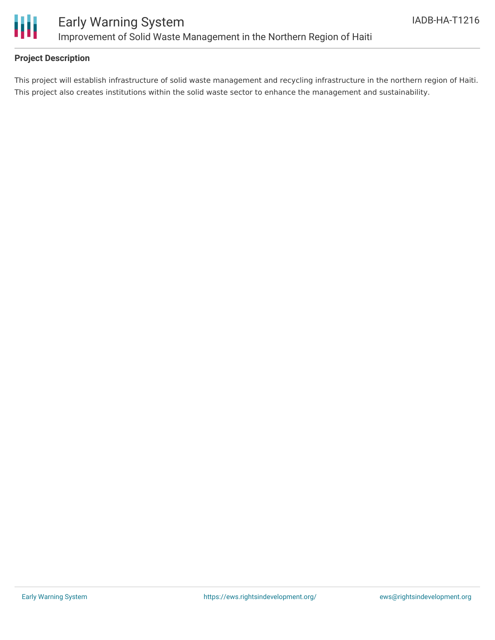

#### **Project Description**

This project will establish infrastructure of solid waste management and recycling infrastructure in the northern region of Haiti. This project also creates institutions within the solid waste sector to enhance the management and sustainability.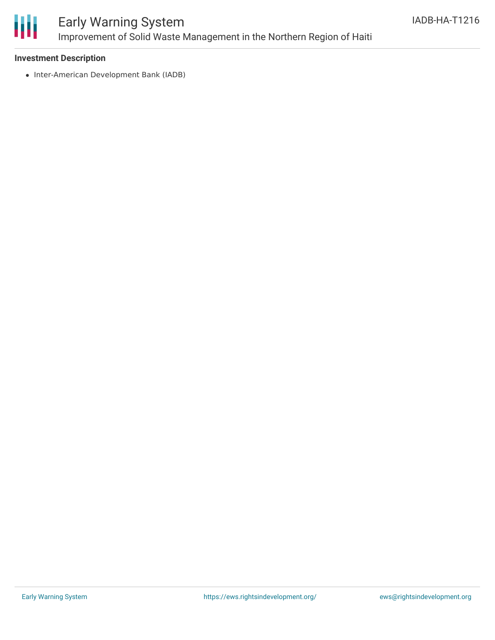

### Early Warning System Improvement of Solid Waste Management in the Northern Region of Haiti

#### **Investment Description**

• Inter-American Development Bank (IADB)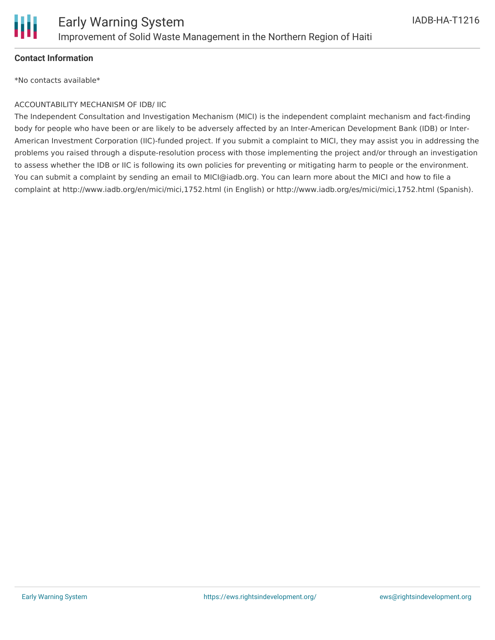

#### **Contact Information**

\*No contacts available\*

#### ACCOUNTABILITY MECHANISM OF IDB/ IIC

The Independent Consultation and Investigation Mechanism (MICI) is the independent complaint mechanism and fact-finding body for people who have been or are likely to be adversely affected by an Inter-American Development Bank (IDB) or Inter-American Investment Corporation (IIC)-funded project. If you submit a complaint to MICI, they may assist you in addressing the problems you raised through a dispute-resolution process with those implementing the project and/or through an investigation to assess whether the IDB or IIC is following its own policies for preventing or mitigating harm to people or the environment. You can submit a complaint by sending an email to MICI@iadb.org. You can learn more about the MICI and how to file a complaint at http://www.iadb.org/en/mici/mici,1752.html (in English) or http://www.iadb.org/es/mici/mici,1752.html (Spanish).